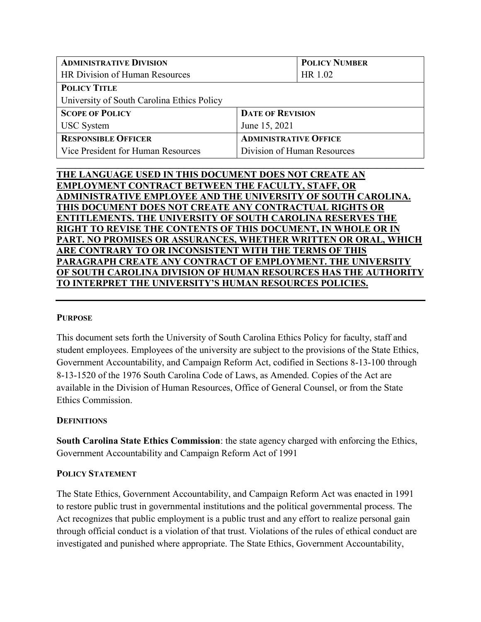| <b>ADMINISTRATIVE DIVISION</b>             |                              | <b>POLICY NUMBER</b> |
|--------------------------------------------|------------------------------|----------------------|
| HR Division of Human Resources             |                              | HR 1.02              |
| <b>POLICY TITLE</b>                        |                              |                      |
| University of South Carolina Ethics Policy |                              |                      |
| <b>SCOPE OF POLICY</b>                     | <b>DATE OF REVISION</b>      |                      |
| <b>USC</b> System                          | June 15, 2021                |                      |
| <b>RESPONSIBLE OFFICER</b>                 | <b>ADMINISTRATIVE OFFICE</b> |                      |
| Vice President for Human Resources         | Division of Human Resources  |                      |

 $\mathcal{L}_\mathcal{L} = \{ \mathcal{L}_\mathcal{L} = \{ \mathcal{L}_\mathcal{L} = \{ \mathcal{L}_\mathcal{L} = \{ \mathcal{L}_\mathcal{L} = \{ \mathcal{L}_\mathcal{L} = \{ \mathcal{L}_\mathcal{L} = \{ \mathcal{L}_\mathcal{L} = \{ \mathcal{L}_\mathcal{L} = \{ \mathcal{L}_\mathcal{L} = \{ \mathcal{L}_\mathcal{L} = \{ \mathcal{L}_\mathcal{L} = \{ \mathcal{L}_\mathcal{L} = \{ \mathcal{L}_\mathcal{L} = \{ \mathcal{L}_\mathcal{$ 

| THE LANGUAGE USED IN THIS DOCUMENT DOES NOT CREATE AN                |
|----------------------------------------------------------------------|
| <b>EMPLOYMENT CONTRACT BETWEEN THE FACULTY, STAFF, OR</b>            |
| ADMINISTRATIVE EMPLOYEE AND THE UNIVERSITY OF SOUTH CAROLINA.        |
| THIS DOCUMENT DOES NOT CREATE ANY CONTRACTUAL RIGHTS OR              |
| <b>ENTITLEMENTS. THE UNIVERSITY OF SOUTH CAROLINA RESERVES THE</b>   |
| <b>RIGHT TO REVISE THE CONTENTS OF THIS DOCUMENT, IN WHOLE OR IN</b> |
| PART. NO PROMISES OR ASSURANCES, WHETHER WRITTEN OR ORAL, WHICH      |
| ARE CONTRARY TO OR INCONSISTENT WITH THE TERMS OF THIS               |
| PARAGRAPH CREATE ANY CONTRACT OF EMPLOYMENT. THE UNIVERSITY          |
| OF SOUTH CAROLINA DIVISION OF HUMAN RESOURCES HAS THE AUTHORITY      |
| TO INTERPRET THE UNIVERSITY'S HUMAN RESOURCES POLICIES.              |
|                                                                      |

### **PURPOSE**

This document sets forth the University of South Carolina Ethics Policy for faculty, staff and student employees. Employees of the university are subject to the provisions of the State Ethics, Government Accountability, and Campaign Reform Act, codified in Sections 8-13-100 through 8-13-1520 of the 1976 South Carolina Code of Laws, as Amended. Copies of the Act are available in the Division of Human Resources, Office of General Counsel, or from the State Ethics Commission.

### **DEFINITIONS**

**South Carolina State Ethics Commission**: the state agency charged with enforcing the Ethics, Government Accountability and Campaign Reform Act of 1991

### **POLICY STATEMENT**

The State Ethics, Government Accountability, and Campaign Reform Act was enacted in 1991 to restore public trust in governmental institutions and the political governmental process. The Act recognizes that public employment is a public trust and any effort to realize personal gain through official conduct is a violation of that trust. Violations of the rules of ethical conduct are investigated and punished where appropriate. The State Ethics, Government Accountability,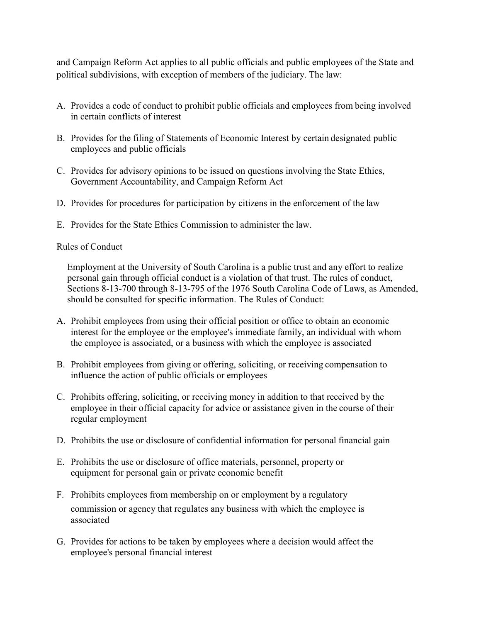and Campaign Reform Act applies to all public officials and public employees of the State and political subdivisions, with exception of members of the judiciary. The law:

- A. Provides a code of conduct to prohibit public officials and employees from being involved in certain conflicts of interest
- B. Provides for the filing of Statements of Economic Interest by certain designated public employees and public officials
- C. Provides for advisory opinions to be issued on questions involving the State Ethics, Government Accountability, and Campaign Reform Act
- D. Provides for procedures for participation by citizens in the enforcement of the law
- E. Provides for the State Ethics Commission to administer the law.

### Rules of Conduct

Employment at the University of South Carolina is a public trust and any effort to realize personal gain through official conduct is a violation of that trust. The rules of conduct, Sections 8-13-700 through 8-13-795 of the 1976 South Carolina Code of Laws, as Amended, should be consulted for specific information. The Rules of Conduct:

- A. Prohibit employees from using their official position or office to obtain an economic interest for the employee or the employee's immediate family, an individual with whom the employee is associated, or a business with which the employee is associated
- B. Prohibit employees from giving or offering, soliciting, or receiving compensation to influence the action of public officials or employees
- C. Prohibits offering, soliciting, or receiving money in addition to that received by the employee in their official capacity for advice or assistance given in the course of their regular employment
- D. Prohibits the use or disclosure of confidential information for personal financial gain
- E. Prohibits the use or disclosure of office materials, personnel, property or equipment for personal gain or private economic benefit
- F. Prohibits employees from membership on or employment by a regulatory commission or agency that regulates any business with which the employee is associated
- G. Provides for actions to be taken by employees where a decision would affect the employee's personal financial interest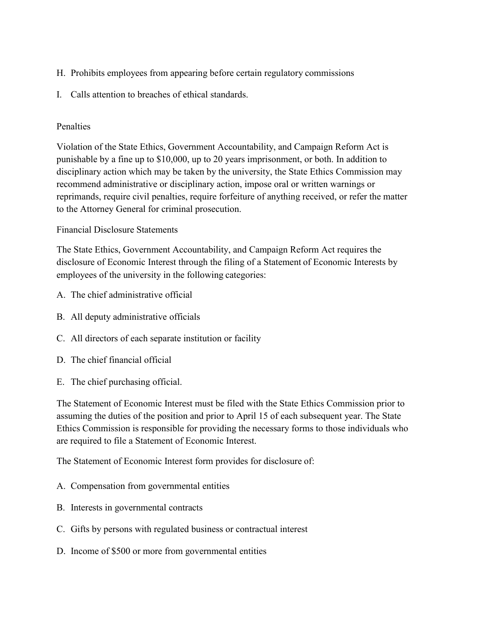- H. Prohibits employees from appearing before certain regulatory commissions
- I. Calls attention to breaches of ethical standards.

## Penalties

Violation of the State Ethics, Government Accountability, and Campaign Reform Act is punishable by a fine up to \$10,000, up to 20 years imprisonment, or both. In addition to disciplinary action which may be taken by the university, the State Ethics Commission may recommend administrative or disciplinary action, impose oral or written warnings or reprimands, require civil penalties, require forfeiture of anything received, or refer the matter to the Attorney General for criminal prosecution.

# Financial Disclosure Statements

The State Ethics, Government Accountability, and Campaign Reform Act requires the disclosure of Economic Interest through the filing of a Statement of Economic Interests by employees of the university in the following categories:

- A. The chief administrative official
- B. All deputy administrative officials
- C. All directors of each separate institution or facility
- D. The chief financial official
- E. The chief purchasing official.

The Statement of Economic Interest must be filed with the State Ethics Commission prior to assuming the duties of the position and prior to April 15 of each subsequent year. The State Ethics Commission is responsible for providing the necessary forms to those individuals who are required to file a Statement of Economic Interest.

The Statement of Economic Interest form provides for disclosure of:

- A. Compensation from governmental entities
- B. Interests in governmental contracts
- C. Gifts by persons with regulated business or contractual interest
- D. Income of \$500 or more from governmental entities